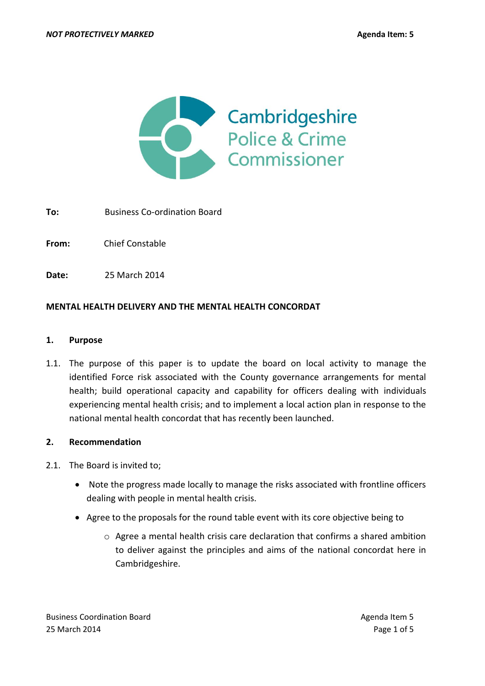

**To:** Business Co-ordination Board

**From:** Chief Constable

**Date:** 25 March 2014

### **MENTAL HEALTH DELIVERY AND THE MENTAL HEALTH CONCORDAT**

#### **1. Purpose**

1.1. The purpose of this paper is to update the board on local activity to manage the identified Force risk associated with the County governance arrangements for mental health; build operational capacity and capability for officers dealing with individuals experiencing mental health crisis; and to implement a local action plan in response to the national mental health concordat that has recently been launched.

#### **2. Recommendation**

- 2.1. The Board is invited to;
	- Note the progress made locally to manage the risks associated with frontline officers dealing with people in mental health crisis.
	- Agree to the proposals for the round table event with its core objective being to
		- o Agree a mental health crisis care declaration that confirms a shared ambition to deliver against the principles and aims of the national concordat here in Cambridgeshire.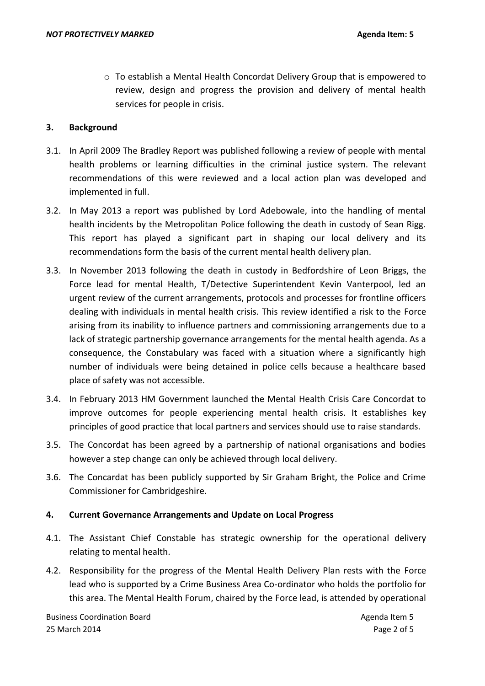o To establish a Mental Health Concordat Delivery Group that is empowered to review, design and progress the provision and delivery of mental health services for people in crisis.

## **3. Background**

- 3.1. In April 2009 The Bradley Report was published following a review of people with mental health problems or learning difficulties in the criminal justice system. The relevant recommendations of this were reviewed and a local action plan was developed and implemented in full.
- 3.2. In May 2013 a report was published by Lord Adebowale, into the handling of mental health incidents by the Metropolitan Police following the death in custody of Sean Rigg. This report has played a significant part in shaping our local delivery and its recommendations form the basis of the current mental health delivery plan.
- 3.3. In November 2013 following the death in custody in Bedfordshire of Leon Briggs, the Force lead for mental Health, T/Detective Superintendent Kevin Vanterpool, led an urgent review of the current arrangements, protocols and processes for frontline officers dealing with individuals in mental health crisis. This review identified a risk to the Force arising from its inability to influence partners and commissioning arrangements due to a lack of strategic partnership governance arrangements for the mental health agenda. As a consequence, the Constabulary was faced with a situation where a significantly high number of individuals were being detained in police cells because a healthcare based place of safety was not accessible.
- 3.4. In February 2013 HM Government launched the Mental Health Crisis Care Concordat to improve outcomes for people experiencing mental health crisis. It establishes key principles of good practice that local partners and services should use to raise standards.
- 3.5. The Concordat has been agreed by a partnership of national organisations and bodies however a step change can only be achieved through local delivery.
- 3.6. The Concardat has been publicly supported by Sir Graham Bright, the Police and Crime Commissioner for Cambridgeshire.

### **4. Current Governance Arrangements and Update on Local Progress**

- 4.1. The Assistant Chief Constable has strategic ownership for the operational delivery relating to mental health.
- 4.2. Responsibility for the progress of the Mental Health Delivery Plan rests with the Force lead who is supported by a Crime Business Area Co-ordinator who holds the portfolio for this area. The Mental Health Forum, chaired by the Force lead, is attended by operational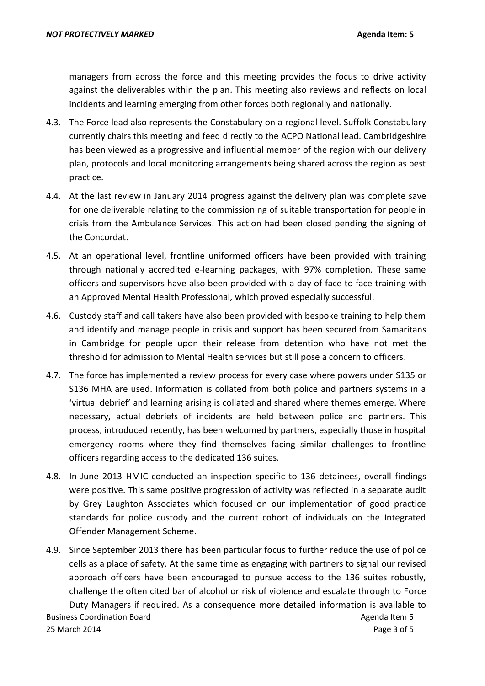managers from across the force and this meeting provides the focus to drive activity against the deliverables within the plan. This meeting also reviews and reflects on local incidents and learning emerging from other forces both regionally and nationally.

- 4.3. The Force lead also represents the Constabulary on a regional level. Suffolk Constabulary currently chairs this meeting and feed directly to the ACPO National lead. Cambridgeshire has been viewed as a progressive and influential member of the region with our delivery plan, protocols and local monitoring arrangements being shared across the region as best practice.
- 4.4. At the last review in January 2014 progress against the delivery plan was complete save for one deliverable relating to the commissioning of suitable transportation for people in crisis from the Ambulance Services. This action had been closed pending the signing of the Concordat.
- 4.5. At an operational level, frontline uniformed officers have been provided with training through nationally accredited e-learning packages, with 97% completion. These same officers and supervisors have also been provided with a day of face to face training with an Approved Mental Health Professional, which proved especially successful.
- 4.6. Custody staff and call takers have also been provided with bespoke training to help them and identify and manage people in crisis and support has been secured from Samaritans in Cambridge for people upon their release from detention who have not met the threshold for admission to Mental Health services but still pose a concern to officers.
- 4.7. The force has implemented a review process for every case where powers under S135 or S136 MHA are used. Information is collated from both police and partners systems in a 'virtual debrief' and learning arising is collated and shared where themes emerge. Where necessary, actual debriefs of incidents are held between police and partners. This process, introduced recently, has been welcomed by partners, especially those in hospital emergency rooms where they find themselves facing similar challenges to frontline officers regarding access to the dedicated 136 suites.
- 4.8. In June 2013 HMIC conducted an inspection specific to 136 detainees, overall findings were positive. This same positive progression of activity was reflected in a separate audit by Grey Laughton Associates which focused on our implementation of good practice standards for police custody and the current cohort of individuals on the Integrated Offender Management Scheme.
- Business Coordination Board **Agents** Coordination Board Agenda Item 5 25 March 2014 **Page 3 of 5** 4.9. Since September 2013 there has been particular focus to further reduce the use of police cells as a place of safety. At the same time as engaging with partners to signal our revised approach officers have been encouraged to pursue access to the 136 suites robustly, challenge the often cited bar of alcohol or risk of violence and escalate through to Force Duty Managers if required. As a consequence more detailed information is available to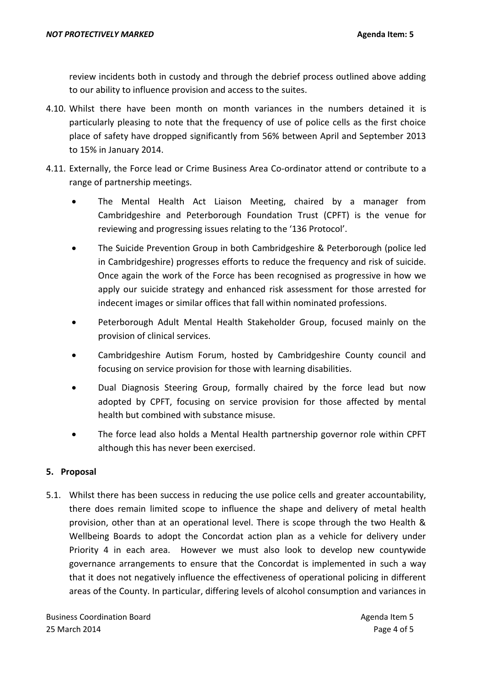review incidents both in custody and through the debrief process outlined above adding to our ability to influence provision and access to the suites.

- 4.10. Whilst there have been month on month variances in the numbers detained it is particularly pleasing to note that the frequency of use of police cells as the first choice place of safety have dropped significantly from 56% between April and September 2013 to 15% in January 2014.
- 4.11. Externally, the Force lead or Crime Business Area Co-ordinator attend or contribute to a range of partnership meetings.
	- The Mental Health Act Liaison Meeting, chaired by a manager from Cambridgeshire and Peterborough Foundation Trust (CPFT) is the venue for reviewing and progressing issues relating to the '136 Protocol'.
	- The Suicide Prevention Group in both Cambridgeshire & Peterborough (police led in Cambridgeshire) progresses efforts to reduce the frequency and risk of suicide. Once again the work of the Force has been recognised as progressive in how we apply our suicide strategy and enhanced risk assessment for those arrested for indecent images or similar offices that fall within nominated professions.
	- Peterborough Adult Mental Health Stakeholder Group, focused mainly on the provision of clinical services.
	- Cambridgeshire Autism Forum, hosted by Cambridgeshire County council and focusing on service provision for those with learning disabilities.
	- Dual Diagnosis Steering Group, formally chaired by the force lead but now adopted by CPFT, focusing on service provision for those affected by mental health but combined with substance misuse.
	- The force lead also holds a Mental Health partnership governor role within CPFT although this has never been exercised.

# **5. Proposal**

5.1. Whilst there has been success in reducing the use police cells and greater accountability, there does remain limited scope to influence the shape and delivery of metal health provision, other than at an operational level. There is scope through the two Health & Wellbeing Boards to adopt the Concordat action plan as a vehicle for delivery under Priority 4 in each area. However we must also look to develop new countywide governance arrangements to ensure that the Concordat is implemented in such a way that it does not negatively influence the effectiveness of operational policing in different areas of the County. In particular, differing levels of alcohol consumption and variances in

Business Coordination Board **Agents** Coordination Board Agenda Item 5 25 March 2014 **Page 4 of 5**